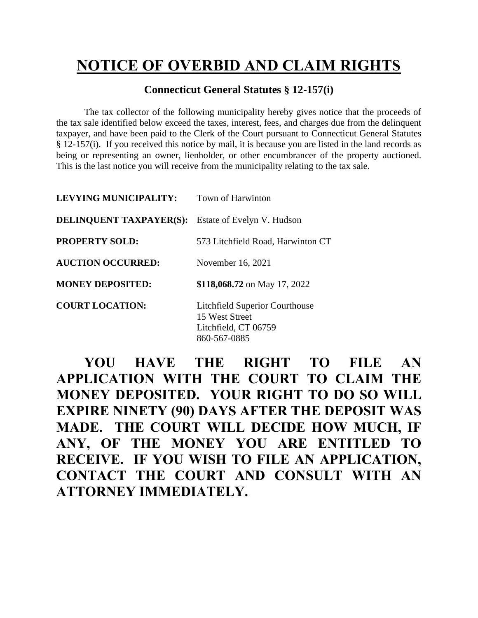## **NOTICE OF OVERBID AND CLAIM RIGHTS**

## **Connecticut General Statutes § 12-157(i)**

The tax collector of the following municipality hereby gives notice that the proceeds of the tax sale identified below exceed the taxes, interest, fees, and charges due from the delinquent taxpayer, and have been paid to the Clerk of the Court pursuant to Connecticut General Statutes § 12-157(i). If you received this notice by mail, it is because you are listed in the land records as being or representing an owner, lienholder, or other encumbrancer of the property auctioned. This is the last notice you will receive from the municipality relating to the tax sale.

| <b>LEVYING MUNICIPALITY:</b>   | Town of Harwinton                                                                               |
|--------------------------------|-------------------------------------------------------------------------------------------------|
| <b>DELINQUENT TAXPAYER(S):</b> | Estate of Evelyn V. Hudson                                                                      |
| <b>PROPERTY SOLD:</b>          | 573 Litchfield Road, Harwinton CT                                                               |
| <b>AUCTION OCCURRED:</b>       | November 16, 2021                                                                               |
| <b>MONEY DEPOSITED:</b>        | \$118,068.72 on May 17, 2022                                                                    |
| <b>COURT LOCATION:</b>         | <b>Litchfield Superior Courthouse</b><br>15 West Street<br>Litchfield, CT 06759<br>860-567-0885 |

**YOU HAVE THE RIGHT TO FILE AN APPLICATION WITH THE COURT TO CLAIM THE MONEY DEPOSITED. YOUR RIGHT TO DO SO WILL EXPIRE NINETY (90) DAYS AFTER THE DEPOSIT WAS MADE. THE COURT WILL DECIDE HOW MUCH, IF ANY, OF THE MONEY YOU ARE ENTITLED TO RECEIVE. IF YOU WISH TO FILE AN APPLICATION, CONTACT THE COURT AND CONSULT WITH AN ATTORNEY IMMEDIATELY.**